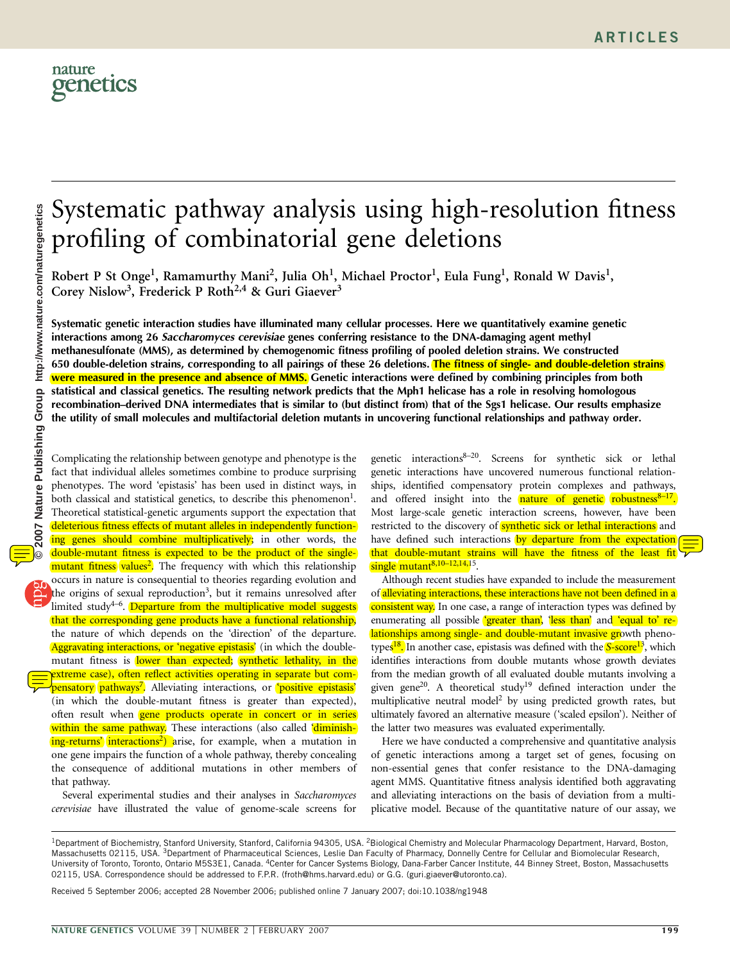

# Systematic pathway analysis using high-resolution fitness profiling of combinatorial gene deletions

Robert P St Onge<sup>1</sup>, Ramamurthy Mani<sup>2</sup>, Julia Oh<sup>1</sup>, Michael Proctor<sup>1</sup>, Eula Fung<sup>1</sup>, Ronald W Davis<sup>1</sup>, Corey Nislow<sup>3</sup>, Frederick P Roth<sup>2,4</sup> & Guri Giaever<sup>3</sup>

Systematic genetic interaction studies have illuminated many cellular processes. Here we quantitatively examine genetic interactions among 26 Saccharomyces cerevisiae genes conferring resistance to the DNA-damaging agent methyl methanesulfonate (MMS), as determined by chemogenomic fitness profiling of pooled deletion strains. We constructed 650 double-deletion strains, corresponding to all pairings of these 26 deletions. The fitness of single- and double-deletion strains were measured in the presence and absence of MMS. Genetic interactions were defined by combining principles from both statistical and classical genetics. The resulting network predicts that the Mph1 helicase has a role in resolving homologous recombination–derived DNA intermediates that is similar to (but distinct from) that of the Sgs1 helicase. Our results emphasize the utility of small molecules and multifactorial deletion mutants in uncovering functional relationships and pathway order.

Complicating the relationship between genotype and phenotype is the fact that individual alleles sometimes combine to produce surprising phenotypes. The word 'epistasis' has been used in distinct ways, in both classical and statistical genetics, to describe this phenomenon<sup>1</sup>. Theoretical statistical-genetic arguments support the expectation that deleterious fitness effects of mutant alleles in independently functioning genes should combine multiplicatively; in other words, the double-mutant fitness is expected to be the product of the singlemutant fitness values<sup>2</sup>. The frequency with which this relationship occurs in nature is consequential to theories regarding evolution and the origins of sexual reproduction<sup>3</sup>, but it remains unresolved after limited study<sup>4-6</sup>. Departure from the multiplicative model suggests that the corresponding gene products have a functional relationship, the nature of which depends on the 'direction' of the departure. Aggravating interactions, or 'negative epistasis' (in which the doublemutant fitness is lower than expected; synthetic lethality, in the extreme case), often reflect activities operating in separate but com**pensatory pathways<sup>7</sup>.** Alleviating interactions, or **'positive epistasis**' (in which the double-mutant fitness is greater than expected), often result when **gene products operate in concert or in series** within the same pathway. These interactions (also called 'diminishing-returns' interactions<sup>2</sup>) arise, for example, when a mutation in one gene impairs the function of a whole pathway, thereby concealing the consequence of additional mutations in other members of that pathway.

Several experimental studies and their analyses in Saccharomyces cerevisiae have illustrated the value of genome-scale screens for

genetic interactions8–20. Screens for synthetic sick or lethal genetic interactions have uncovered numerous functional relationships, identified compensatory protein complexes and pathways, and offered insight into the **nature of genetic** robustness<sup>8-17</sup>. Most large-scale genetic interaction screens, however, have been restricted to the discovery of **synthetic sick or lethal interactions** and have defined such interactions by departure from the expectation that double-mutant strains will have the fitness of the least fit single mutant $^{8,10-12,14,15}$ .

Although recent studies have expanded to include the measurement of alleviating interactions, these interactions have not been defined in a consistent way. In one case, a range of interaction types was defined by enumerating all possible 'greater than', 'less than' and 'equal to' relationships among single- and double-mutant invasive growth phenotypes<sup>18</sup>. In another case, epistasis was defined with the **S-score**<sup>13</sup>, which identifies interactions from double mutants whose growth deviates from the median growth of all evaluated double mutants involving a given gene<sup>20</sup>. A theoretical study<sup>19</sup> defined interaction under the multiplicative neutral model2 by using predicted growth rates, but ultimately favored an alternative measure ('scaled epsilon'). Neither of the latter two measures was evaluated experimentally.

Here we have conducted a comprehensive and quantitative analysis of genetic interactions among a target set of genes, focusing on non-essential genes that confer resistance to the DNA-damaging agent MMS. Quantitative fitness analysis identified both aggravating and alleviating interactions on the basis of deviation from a multiplicative model. Because of the quantitative nature of our assay, we

Received 5 September 2006; accepted 28 November 2006; published online 7 January 2007; doi:10.1038/ng1948

<sup>&</sup>lt;sup>1</sup>Department of Biochemistry, Stanford University, Stanford, California 94305, USA. <sup>2</sup>Biological Chemistry and Molecular Pharmacology Department, Harvard, Boston, Massachusetts 02115, USA. <sup>3</sup>Department of Pharmaceutical Sciences, Leslie Dan Faculty of Pharmacy, Donnelly Centre for Cellular and Biomolecular Research, University of Toronto, Toronto, Ontario M5S3E1, Canada. 4Center for Cancer Systems Biology, Dana-Farber Cancer Institute, 44 Binney Street, Boston, Massachusetts 02115, USA. Correspondence should be addressed to F.P.R. (froth@hms.harvard.edu) or G.G. (guri.giaever@utoronto.ca).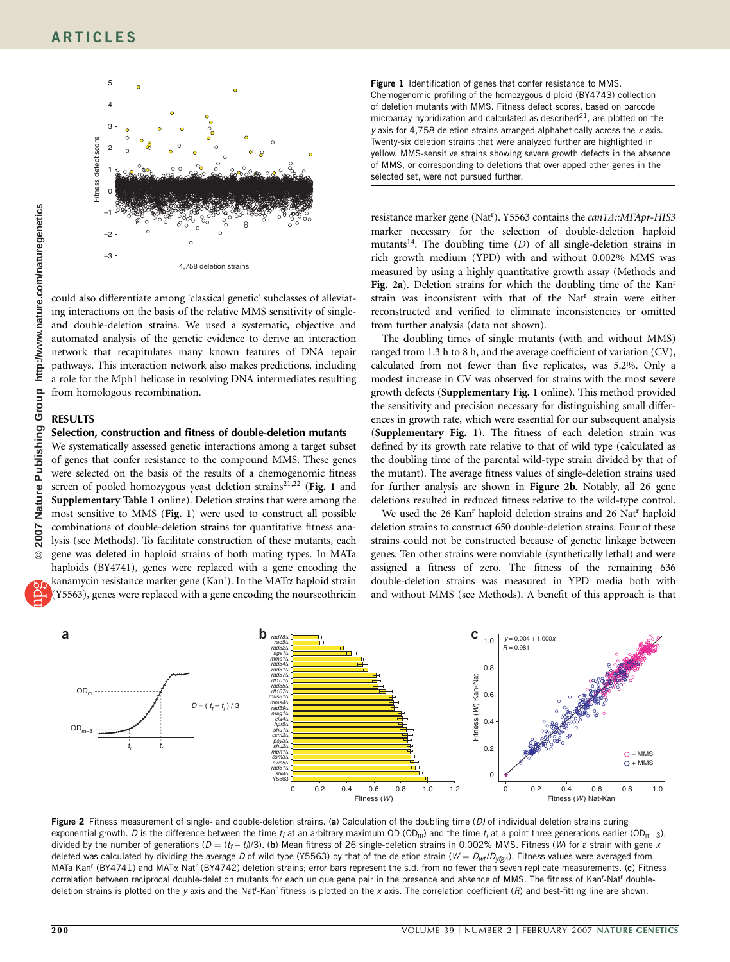

could also differentiate among 'classical genetic' subclasses of alleviating interactions on the basis of the relative MMS sensitivity of singleand double-deletion strains. We used a systematic, objective and automated analysis of the genetic evidence to derive an interaction network that recapitulates many known features of DNA repair pathways. This interaction network also makes predictions, including a role for the Mph1 helicase in resolving DNA intermediates resulting from homologous recombination.

## RESULTS

# Selection, construction and fitness of double-deletion mutants

We systematically assessed genetic interactions among a target subset of genes that confer resistance to the compound MMS. These genes were selected on the basis of the results of a chemogenomic fitness screen of pooled homozygous yeast deletion strains<sup>21,22</sup> (Fig. 1 and Supplementary Table 1 online). Deletion strains that were among the most sensitive to MMS (Fig. 1) were used to construct all possible combinations of double-deletion strains for quantitative fitness analysis (see Methods). To facilitate construction of these mutants, each gene was deleted in haploid strains of both mating types. In MATa haploids (BY4741), genes were replaced with a gene encoding the

kanamycin resistance marker gene (Kan<sup>r</sup>). In the MAT<sub>a</sub> haploid strain (Y5563), genes were replaced with a gene encoding the nourseothricin

Figure 1 Identification of genes that confer resistance to MMS. Chemogenomic profiling of the homozygous diploid (BY4743) collection of deletion mutants with MMS. Fitness defect scores, based on barcode microarray hybridization and calculated as described $21$ , are plotted on the  $y$  axis for 4,758 deletion strains arranged alphabetically across the  $x$  axis. Twenty-six deletion strains that were analyzed further are highlighted in yellow. MMS-sensitive strains showing severe growth defects in the absence of MMS, or corresponding to deletions that overlapped other genes in the selected set, were not pursued further.

resistance marker gene (Nat<sup>r</sup>). Y5563 contains the *can1A*::MFApr-HIS3 marker necessary for the selection of double-deletion haploid mutants<sup>14</sup>. The doubling time  $(D)$  of all single-deletion strains in rich growth medium (YPD) with and without 0.002% MMS was measured by using a highly quantitative growth assay (Methods and Fig. 2a). Deletion strains for which the doubling time of the Kan<sup>r</sup> strain was inconsistent with that of the Nat<sup>r</sup> strain were either reconstructed and verified to eliminate inconsistencies or omitted from further analysis (data not shown).

The doubling times of single mutants (with and without MMS) ranged from 1.3 h to 8 h, and the average coefficient of variation (CV), calculated from not fewer than five replicates, was 5.2%. Only a modest increase in CV was observed for strains with the most severe growth defects (Supplementary Fig. 1 online). This method provided the sensitivity and precision necessary for distinguishing small differences in growth rate, which were essential for our subsequent analysis (Supplementary Fig. 1). The fitness of each deletion strain was defined by its growth rate relative to that of wild type (calculated as the doubling time of the parental wild-type strain divided by that of the mutant). The average fitness values of single-deletion strains used for further analysis are shown in Figure 2b. Notably, all 26 gene deletions resulted in reduced fitness relative to the wild-type control.

We used the 26 Kan<sup>r</sup> haploid deletion strains and 26 Nat<sup>r</sup> haploid deletion strains to construct 650 double-deletion strains. Four of these strains could not be constructed because of genetic linkage between genes. Ten other strains were nonviable (synthetically lethal) and were assigned a fitness of zero. The fitness of the remaining 636 double-deletion strains was measured in YPD media both with and without MMS (see Methods). A benefit of this approach is that



Figure 2 Fitness measurement of single- and double-deletion strains. (a) Calculation of the doubling time (D) of individual deletion strains during exponential growth. D is the difference between the time  $t_f$  at an arbitrary maximum OD (OD<sub>m</sub>) and the time  $t_i$  at a point three generations earlier (OD<sub>m-3</sub>), divided by the number of generations ( $D = (t_f - t_i)/3$ ). (b) Mean fitness of 26 single-deletion strains in 0.002% MMS. Fitness (W) for a strain with gene x deleted was calculated by dividing the average D of wild type (Y5563) by that of the deletion strain ( $W = D_{wt}/D_{yfg,d}$ ). Fitness values were averaged from MATa Kan<sup>r</sup> (BY4741) and MATa Nat<sup>r</sup> (BY4742) deletion strains; error bars represent the s.d. from no fewer than seven replicate measurements. (c) Fitness correlation between reciprocal double-deletion mutants for each unique gene pair in the presence and absence of MMS. The fitness of Kan<sup>r</sup>-Nat<sup>r</sup> doubledeletion strains is plotted on the y axis and the Nat<sup>r</sup>-Kan<sup>r</sup> fitness is plotted on the x axis. The correlation coefficient (R) and best-fitting line are shown.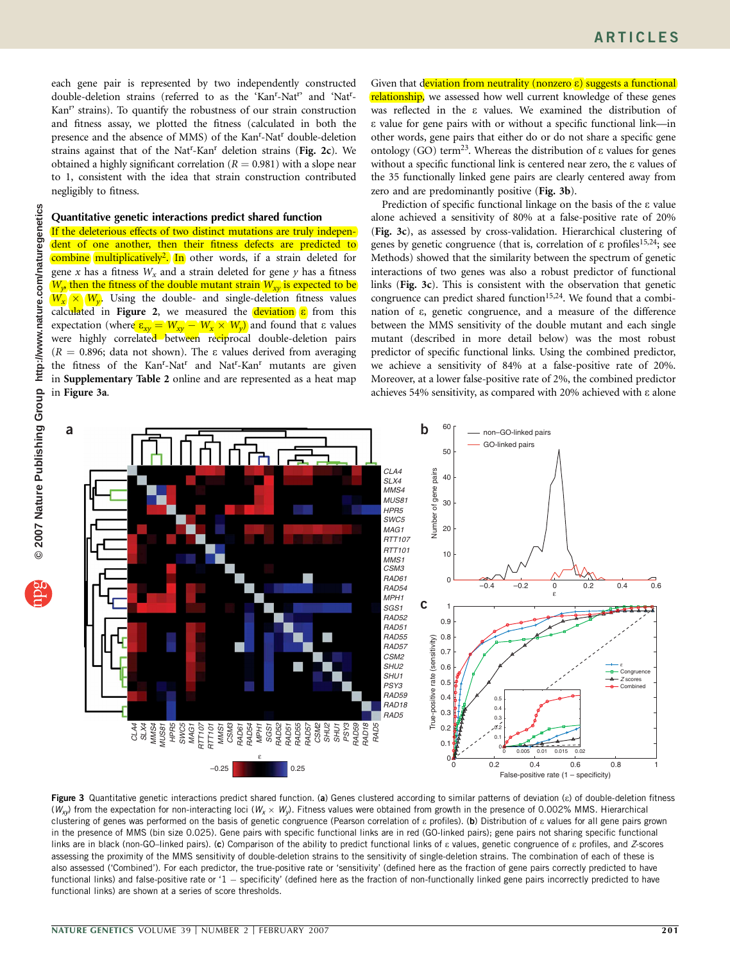each gene pair is represented by two independently constructed double-deletion strains (referred to as the 'Kan<sup>r</sup>-Nat<sup>r</sup>' and 'Nat<sup>r</sup>-Kan<sup>r</sup> strains). To quantify the robustness of our strain construction and fitness assay, we plotted the fitness (calculated in both the presence and the absence of MMS) of the Kan<sup>r</sup>-Nat<sup>r</sup> double-deletion strains against that of the Nat<sup>r</sup>-Kan<sup>r</sup> deletion strains (Fig. 2c). We obtained a highly significant correlation ( $R = 0.981$ ) with a slope near to 1, consistent with the idea that strain construction contributed negligibly to fitness.

## Quantitative genetic interactions predict shared function

If the deleterious effects of two distinct mutations are truly independent of one another, then their fitness defects are predicted to combine multiplicatively<sup>2</sup>. In other words, if a strain deleted for gene x has a fitness  $W_x$  and a strain deleted for gene y has a fitness  $W_{\nu}$  then the fitness of the double mutant strain  $W_{\nu}$  is expected to be  $W_x \times W_y$ . Using the double- and single-deletion fitness values calculated in Figure 2, we measured the deviation  $\varepsilon$  from this expectation (where  $\epsilon_{xy} = W_{xy} - W_x \times W_y$ ) and found that  $\epsilon$  values were highly correlated between reciprocal double-deletion pairs  $(R = 0.896;$  data not shown). The  $\varepsilon$  values derived from averaging the fitness of the Kan<sup>r</sup>-Nat<sup>r</sup> and Nat<sup>r</sup>-Kan<sup>r</sup> mutants are given in Supplementary Table 2 online and are represented as a heat map in Figure 3a.

Given that deviation from neutrality (nonzero  $\varepsilon$ ) suggests a functional relationship, we assessed how well current knowledge of these genes was reflected in the e values. We examined the distribution of e value for gene pairs with or without a specific functional link—in other words, gene pairs that either do or do not share a specific gene ontology (GO) term<sup>23</sup>. Whereas the distribution of  $\varepsilon$  values for genes without a specific functional link is centered near zero, the e values of the 35 functionally linked gene pairs are clearly centered away from zero and are predominantly positive (Fig. 3b).

Prediction of specific functional linkage on the basis of the  $\varepsilon$  value alone achieved a sensitivity of 80% at a false-positive rate of 20% (Fig. 3c), as assessed by cross-validation. Hierarchical clustering of genes by genetic congruence (that is, correlation of  $\varepsilon$  profiles<sup>15,24</sup>; see Methods) showed that the similarity between the spectrum of genetic interactions of two genes was also a robust predictor of functional links (Fig. 3c). This is consistent with the observation that genetic congruence can predict shared function<sup>15,24</sup>. We found that a combination of e, genetic congruence, and a measure of the difference between the MMS sensitivity of the double mutant and each single mutant (described in more detail below) was the most robust predictor of specific functional links. Using the combined predictor, we achieve a sensitivity of 84% at a false-positive rate of 20%. Moreover, at a lower false-positive rate of 2%, the combined predictor achieves 54% sensitivity, as compared with 20% achieved with e alone



Figure 3 Quantitative genetic interactions predict shared function. (a) Genes clustered according to similar patterns of deviation (c) of double-deletion fitness ( $W_{xy}$ ) from the expectation for non-interacting loci ( $W_\chi \times W_y$ ). Fitness values were obtained from growth in the presence of 0.002% MMS. Hierarchical clustering of genes was performed on the basis of genetic congruence (Pearson correlation of  $\varepsilon$  profiles). (b) Distribution of  $\varepsilon$  values for all gene pairs grown in the presence of MMS (bin size 0.025). Gene pairs with specific functional links are in red (GO-linked pairs); gene pairs not sharing specific functional links are in black (non-GO–linked pairs). (c) Comparison of the ability to predict functional links of  $\varepsilon$  values, genetic congruence of  $\varepsilon$  profiles, and Z-scores assessing the proximity of the MMS sensitivity of double-deletion strains to the sensitivity of single-deletion strains. The combination of each of these is also assessed ('Combined'). For each predictor, the true-positive rate or 'sensitivity' (defined here as the fraction of gene pairs correctly predicted to have functional links) and false-positive rate or '1  $-$  specificity' (defined here as the fraction of non-functionally linked gene pairs incorrectly predicted to have functional links) are shown at a series of score thresholds.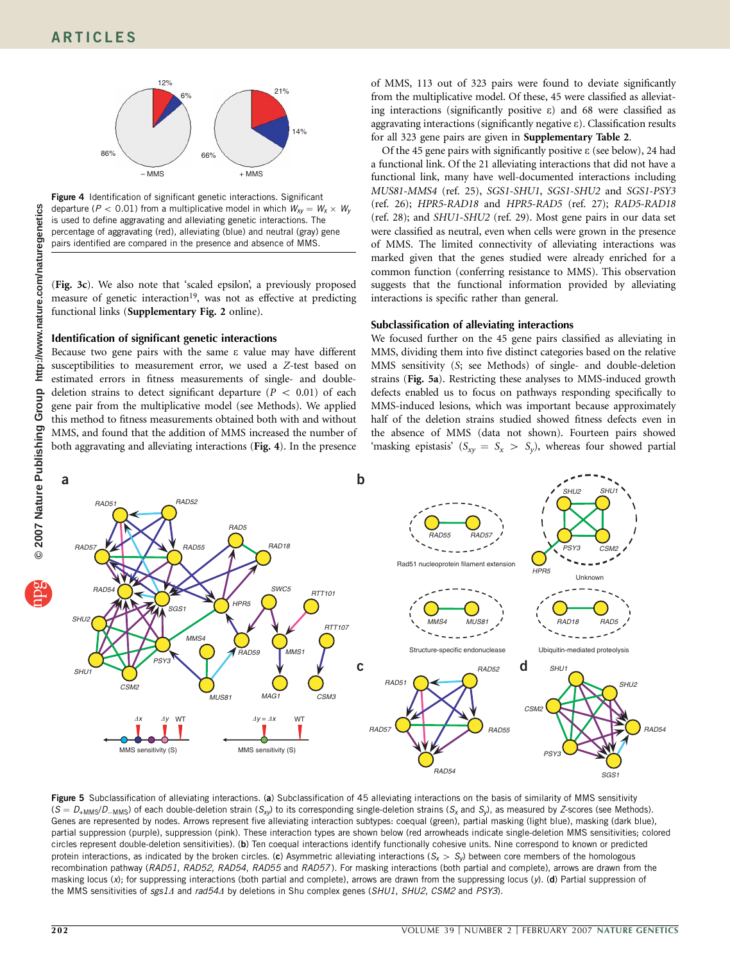![](_page_3_Figure_1.jpeg)

Figure 4 Identification of significant genetic interactions. Significant departure ( $P < 0.01$ ) from a multiplicative model in which  $\mathit{W}_{\mathit{xy}} = \mathit{W}_{\mathit{x}} \times \mathit{W}_{\mathit{y}}$ is used to define aggravating and alleviating genetic interactions. The percentage of aggravating (red), alleviating (blue) and neutral (gray) gene pairs identified are compared in the presence and absence of MMS.

(Fig. 3c). We also note that 'scaled epsilon', a previously proposed measure of genetic interaction<sup>19</sup>, was not as effective at predicting functional links (Supplementary Fig. 2 online).

## Identification of significant genetic interactions

Because two gene pairs with the same  $\varepsilon$  value may have different susceptibilities to measurement error, we used a Z-test based on estimated errors in fitness measurements of single- and doubledeletion strains to detect significant departure ( $P < 0.01$ ) of each gene pair from the multiplicative model (see Methods). We applied this method to fitness measurements obtained both with and without MMS, and found that the addition of MMS increased the number of both aggravating and alleviating interactions (Fig. 4). In the presence

of MMS, 113 out of 323 pairs were found to deviate significantly from the multiplicative model. Of these, 45 were classified as alleviating interactions (significantly positive e) and 68 were classified as aggravating interactions (significantly negative e). Classification results for all 323 gene pairs are given in Supplementary Table 2.

Of the 45 gene pairs with significantly positive  $\varepsilon$  (see below), 24 had a functional link. Of the 21 alleviating interactions that did not have a functional link, many have well-documented interactions including MUS81-MMS4 (ref. 25), SGS1-SHU1, SGS1-SHU2 and SGS1-PSY3 (ref. 26); HPR5-RAD18 and HPR5-RAD5 (ref. 27); RAD5-RAD18 (ref. 28); and SHU1-SHU2 (ref. 29). Most gene pairs in our data set were classified as neutral, even when cells were grown in the presence of MMS. The limited connectivity of alleviating interactions was marked given that the genes studied were already enriched for a common function (conferring resistance to MMS). This observation suggests that the functional information provided by alleviating interactions is specific rather than general.

## Subclassification of alleviating interactions

We focused further on the 45 gene pairs classified as alleviating in MMS, dividing them into five distinct categories based on the relative MMS sensitivity (S; see Methods) of single- and double-deletion strains (Fig. 5a). Restricting these analyses to MMS-induced growth defects enabled us to focus on pathways responding specifically to MMS-induced lesions, which was important because approximately half of the deletion strains studied showed fitness defects even in the absence of MMS (data not shown). Fourteen pairs showed 'masking epistasis' ( $S_{xy} = S_x > S_y$ ), whereas four showed partial

![](_page_3_Figure_10.jpeg)

Figure 5 Subclassification of alleviating interactions. (a) Subclassification of 45 alleviating interactions on the basis of similarity of MMS sensitivity  $(S = D_{+MMS}/D_{-MMS})$  of each double-deletion strain  $(S_{xy})$  to its corresponding single-deletion strains  $(S_x$  and  $S_y)$ , as measured by Z-scores (see Methods). Genes are represented by nodes. Arrows represent five alleviating interaction subtypes: coequal (green), partial masking (light blue), masking (dark blue), partial suppression (purple), suppression (pink). These interaction types are shown below (red arrowheads indicate single-deletion MMS sensitivities; colored circles represent double-deletion sensitivities). (b) Ten coequal interactions identify functionally cohesive units. Nine correspond to known or predicted protein interactions, as indicated by the broken circles. (c) Asymmetric alleviating interactions  $(S_x > S_y)$  between core members of the homologous recombination pathway (RAD51, RAD52, RAD54, RAD55 and RAD57). For masking interactions (both partial and complete), arrows are drawn from the masking locus (x); for suppressing interactions (both partial and complete), arrows are drawn from the suppressing locus (y). (d) Partial suppression of the MMS sensitivities of sgs14 and rad544 by deletions in Shu complex genes (SHU1, SHU2, CSM2 and PSY3).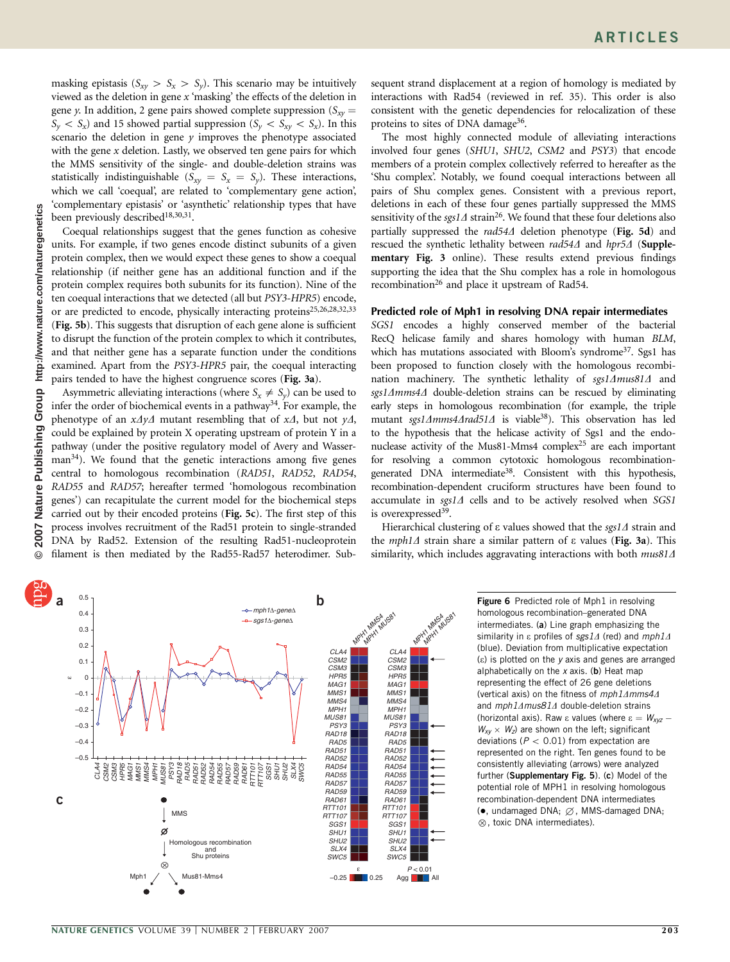masking epistasis ( $S_{xy} > S_x > S_y$ ). This scenario may be intuitively viewed as the deletion in gene  $x$  'masking' the effects of the deletion in gene y. In addition, 2 gene pairs showed complete suppression ( $S_{xy}$  =  $S_v < S_x$ ) and 15 showed partial suppression ( $S_v < S_{xy} < S_x$ ). In this scenario the deletion in gene  $y$  improves the phenotype associated with the gene  $x$  deletion. Lastly, we observed ten gene pairs for which the MMS sensitivity of the single- and double-deletion strains was statistically indistinguishable  $(S_{xy} = S_x = S_y)$ . These interactions, which we call 'coequal', are related to 'complementary gene action', 'complementary epistasis' or 'asynthetic' relationship types that have been previously described<sup>18,30,31</sup>.

Coequal relationships suggest that the genes function as cohesive units. For example, if two genes encode distinct subunits of a given protein complex, then we would expect these genes to show a coequal relationship (if neither gene has an additional function and if the protein complex requires both subunits for its function). Nine of the ten coequal interactions that we detected (all but PSY3-HPR5) encode, or are predicted to encode, physically interacting proteins<sup>25,26,28,32,33</sup> (Fig. 5b). This suggests that disruption of each gene alone is sufficient to disrupt the function of the protein complex to which it contributes, and that neither gene has a separate function under the conditions examined. Apart from the PSY3-HPR5 pair, the coequal interacting pairs tended to have the highest congruence scores (Fig. 3a).

Asymmetric alleviating interactions (where  $S_x \neq S_y$ ) can be used to infer the order of biochemical events in a pathway<sup>34</sup>. For example, the phenotype of an  $x\Delta y\Delta$  mutant resembling that of  $x\Delta$ , but not  $y\Delta$ , could be explained by protein X operating upstream of protein Y in a pathway (under the positive regulatory model of Avery and Wasser $man<sup>34</sup>$ ). We found that the genetic interactions among five genes central to homologous recombination (RAD51, RAD52, RAD54, RAD55 and RAD57; hereafter termed 'homologous recombination genes') can recapitulate the current model for the biochemical steps carried out by their encoded proteins (Fig. 5c). The first step of this process involves recruitment of the Rad51 protein to single-stranded DNA by Rad52. Extension of the resulting Rad51-nucleoprotein filament is then mediated by the Rad55-Rad57 heterodimer. Subsequent strand displacement at a region of homology is mediated by interactions with Rad54 (reviewed in ref. 35). This order is also consistent with the genetic dependencies for relocalization of these proteins to sites of DNA damage<sup>36</sup>.

The most highly connected module of alleviating interactions involved four genes (SHU1, SHU2, CSM2 and PSY3) that encode members of a protein complex collectively referred to hereafter as the 'Shu complex'. Notably, we found coequal interactions between all pairs of Shu complex genes. Consistent with a previous report, deletions in each of these four genes partially suppressed the MMS sensitivity of the sgs1 $\Delta$  strain<sup>26</sup>. We found that these four deletions also partially suppressed the  $rad54\Delta$  deletion phenotype (Fig. 5d) and rescued the synthetic lethality between rad54 $\Delta$  and hpr5 $\Delta$  (Supplementary Fig. 3 online). These results extend previous findings supporting the idea that the Shu complex has a role in homologous recombination<sup>26</sup> and place it upstream of Rad54.

#### Predicted role of Mph1 in resolving DNA repair intermediates

SGS1 encodes a highly conserved member of the bacterial RecQ helicase family and shares homology with human BLM, which has mutations associated with Bloom's syndrome<sup>37</sup>. Sgs1 has been proposed to function closely with the homologous recombination machinery. The synthetic lethality of  $sgs1\Delta mus81\Delta$  and sgs14mms44 double-deletion strains can be rescued by eliminating early steps in homologous recombination (for example, the triple mutant sgs1 $\Delta$ mms4 $\Delta$ rad51 $\Delta$  is viable<sup>38</sup>). This observation has led to the hypothesis that the helicase activity of Sgs1 and the endonuclease activity of the Mus81-Mms4 complex<sup>25</sup> are each important for resolving a common cytotoxic homologous recombinationgenerated DNA intermediate<sup>38</sup>. Consistent with this hypothesis, recombination-dependent cruciform structures have been found to accumulate in  $sgs1\Delta$  cells and to be actively resolved when SGS1 is overexpressed<sup>39</sup>.

Hierarchical clustering of  $\varepsilon$  values showed that the sgs1 $\varDelta$  strain and the *mph1* $\Delta$  strain share a similar pattern of  $\varepsilon$  values (Fig. 3a). This similarity, which includes aggravating interactions with both  $mus81\Delta$ 

![](_page_4_Figure_9.jpeg)

Figure 6 Predicted role of Mph1 in resolving homologous recombination–generated DNA intermediates. (a) Line graph emphasizing the similarity in  $\varepsilon$  profiles of sgs1 $\Delta$  (red) and mph1 $\Delta$ (blue). Deviation from multiplicative expectation (e) is plotted on the y axis and genes are arranged alphabetically on the  $x$  axis. (b) Heat map representing the effect of 26 gene deletions (vertical axis) on the fitness of  $mph1\Delta mms4\Delta$ and  $mph1\Delta mus81\Delta$  double-deletion strains (horizontal axis). Raw  $\varepsilon$  values (where  $\varepsilon = W_{xyz}$  $W_{xy} \times W_z$ ) are shown on the left; significant deviations ( $P < 0.01$ ) from expectation are represented on the right. Ten genes found to be consistently alleviating (arrows) were analyzed further (Supplementary Fig. 5). (c) Model of the potential role of MPH1 in resolving homologous recombination-dependent DNA intermediates  $\bullet$ , undamaged DNA;  $\varnothing$ , MMS-damaged DNA;  $\otimes$ , toxic DNA intermediates).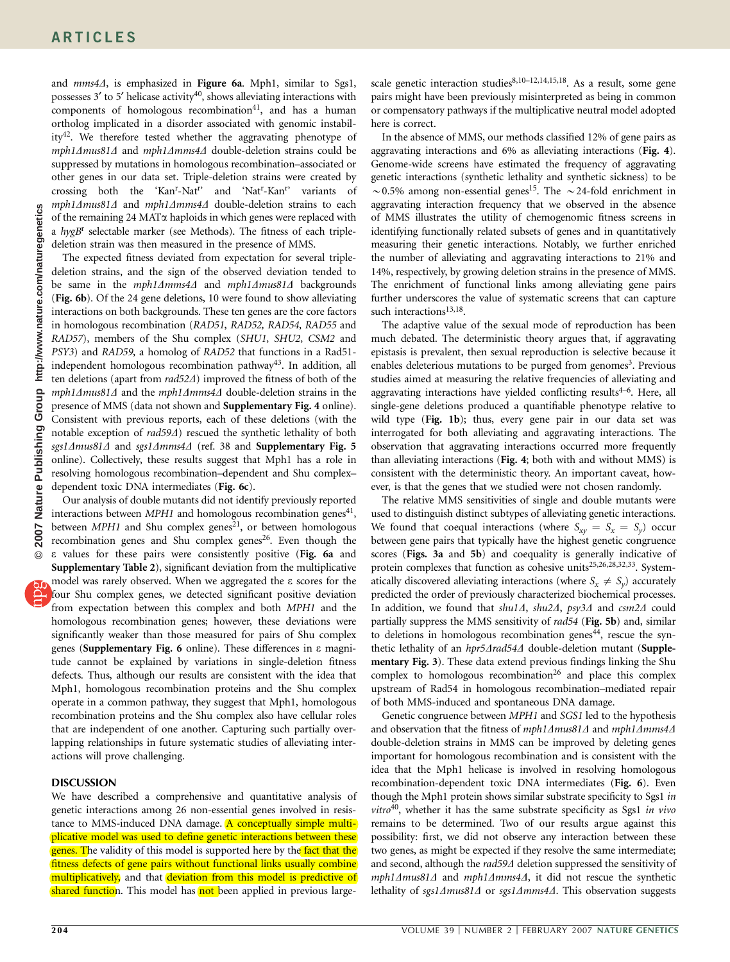and  $mms4\Delta$ , is emphasized in Figure 6a. Mph1, similar to Sgs1, possesses  $3'$  to  $5'$  helicase activity<sup>40</sup>, shows alleviating interactions with components of homologous recombination<sup>41</sup>, and has a human ortholog implicated in a disorder associated with genomic instability<sup>42</sup>. We therefore tested whether the aggravating phenotype of mph1 $\Delta$ mus81 $\Delta$  and mph1 $\Delta$ mms4 $\Delta$  double-deletion strains could be suppressed by mutations in homologous recombination–associated or other genes in our data set. Triple-deletion strains were created by crossing both the 'Kan'-Nat'' and 'Nat'-Kan'' variants of  $mph1\Delta mus81\Delta$  and  $mph1\Delta mms4\Delta$  double-deletion strains to each of the remaining 24 MAT $\alpha$  haploids in which genes were replaced with a  $hygB^r$  selectable marker (see Methods). The fitness of each tripledeletion strain was then measured in the presence of MMS.

The expected fitness deviated from expectation for several tripledeletion strains, and the sign of the observed deviation tended to be same in the  $mph1\Delta mms4\Delta$  and  $mph1\Delta mus81\Delta$  backgrounds (Fig. 6b). Of the 24 gene deletions, 10 were found to show alleviating interactions on both backgrounds. These ten genes are the core factors in homologous recombination (RAD51, RAD52, RAD54, RAD55 and RAD57), members of the Shu complex (SHU1, SHU2, CSM2 and PSY3) and RAD59, a homolog of RAD52 that functions in a Rad51 independent homologous recombination pathway<sup>43</sup>. In addition, all ten deletions (apart from rad52 $\Delta$ ) improved the fitness of both of the  $mph1\Delta mus81\Delta$  and the  $mph1\Delta mms4\Delta$  double-deletion strains in the presence of MMS (data not shown and Supplementary Fig. 4 online). Consistent with previous reports, each of these deletions (with the notable exception of rad59 $\Delta$ ) rescued the synthetic lethality of both sgs1 $\Delta$ mus81 $\Delta$  and sgs1 $\Delta$ mms4 $\Delta$  (ref. 38 and Supplementary Fig. 5 online). Collectively, these results suggest that Mph1 has a role in resolving homologous recombination–dependent and Shu complex– dependent toxic DNA intermediates (Fig. 6c).

Our analysis of double mutants did not identify previously reported interactions between  $MPH1$  and homologous recombination genes<sup>41</sup>, between  $MPH1$  and Shu complex genes<sup>21</sup>, or between homologous recombination genes and Shu complex genes<sup>26</sup>. Even though the e values for these pairs were consistently positive (Fig. 6a and Supplementary Table 2), significant deviation from the multiplicative model was rarely observed. When we aggregated the e scores for the four Shu complex genes, we detected significant positive deviation from expectation between this complex and both MPH1 and the homologous recombination genes; however, these deviations were significantly weaker than those measured for pairs of Shu complex genes (Supplementary Fig. 6 online). These differences in e magnitude cannot be explained by variations in single-deletion fitness defects. Thus, although our results are consistent with the idea that Mph1, homologous recombination proteins and the Shu complex operate in a common pathway, they suggest that Mph1, homologous recombination proteins and the Shu complex also have cellular roles that are independent of one another. Capturing such partially overlapping relationships in future systematic studies of alleviating interactions will prove challenging.

#### **DISCUSSION**

We have described a comprehensive and quantitative analysis of genetic interactions among 26 non-essential genes involved in resistance to MMS-induced DNA damage. A conceptually simple multiplicative model was used to define genetic interactions between these genes. The validity of this model is supported here by the fact that the fitness defects of gene pairs without functional links usually combine multiplicatively, and that deviation from this model is predictive of shared function. This model has not been applied in previous large-

scale genetic interaction studies $8,10-12,14,15,18$ . As a result, some gene pairs might have been previously misinterpreted as being in common or compensatory pathways if the multiplicative neutral model adopted here is correct.

In the absence of MMS, our methods classified 12% of gene pairs as aggravating interactions and 6% as alleviating interactions (Fig. 4). Genome-wide screens have estimated the frequency of aggravating genetic interactions (synthetic lethality and synthetic sickness) to be  $\sim$ 0.5% among non-essential genes<sup>15</sup>. The  $\sim$  24-fold enrichment in aggravating interaction frequency that we observed in the absence of MMS illustrates the utility of chemogenomic fitness screens in identifying functionally related subsets of genes and in quantitatively measuring their genetic interactions. Notably, we further enriched the number of alleviating and aggravating interactions to 21% and 14%, respectively, by growing deletion strains in the presence of MMS. The enrichment of functional links among alleviating gene pairs further underscores the value of systematic screens that can capture such interactions<sup>13,18</sup>.

The adaptive value of the sexual mode of reproduction has been much debated. The deterministic theory argues that, if aggravating epistasis is prevalent, then sexual reproduction is selective because it enables deleterious mutations to be purged from genomes<sup>3</sup>. Previous studies aimed at measuring the relative frequencies of alleviating and aggravating interactions have yielded conflicting results $4-6$ . Here, all single-gene deletions produced a quantifiable phenotype relative to wild type (Fig. 1b); thus, every gene pair in our data set was interrogated for both alleviating and aggravating interactions. The observation that aggravating interactions occurred more frequently than alleviating interactions (Fig. 4; both with and without MMS) is consistent with the deterministic theory. An important caveat, however, is that the genes that we studied were not chosen randomly.

The relative MMS sensitivities of single and double mutants were used to distinguish distinct subtypes of alleviating genetic interactions. We found that coequal interactions (where  $S_{xy} = S_x = S_y$ ) occur between gene pairs that typically have the highest genetic congruence scores (Figs. 3a and 5b) and coequality is generally indicative of protein complexes that function as cohesive units<sup>25,26,28,32,33</sup>. Systematically discovered alleviating interactions (where  $S_x \neq S_y$ ) accurately predicted the order of previously characterized biochemical processes. In addition, we found that  $shu1\Delta$ ,  $shu2\Delta$ ,  $psy3\Delta$  and  $csm2\Delta$  could partially suppress the MMS sensitivity of rad54 (Fig. 5b) and, similar to deletions in homologous recombination genes<sup>44</sup>, rescue the synthetic lethality of an hpr5Arad54A double-deletion mutant (Supplementary Fig. 3). These data extend previous findings linking the Shu complex to homologous recombination<sup>26</sup> and place this complex upstream of Rad54 in homologous recombination–mediated repair of both MMS-induced and spontaneous DNA damage.

Genetic congruence between MPH1 and SGS1 led to the hypothesis and observation that the fitness of mph1 $\Delta$ mus81 $\Delta$  and mph1 $\Delta$ mms4 $\Delta$ double-deletion strains in MMS can be improved by deleting genes important for homologous recombination and is consistent with the idea that the Mph1 helicase is involved in resolving homologous recombination-dependent toxic DNA intermediates (Fig. 6). Even though the Mph1 protein shows similar substrate specificity to Sgs1 in  $vitro<sup>40</sup>$ , whether it has the same substrate specificity as Sgs1 in vivo remains to be determined. Two of our results argue against this possibility: first, we did not observe any interaction between these two genes, as might be expected if they resolve the same intermediate; and second, although the  $rad59\Delta$  deletion suppressed the sensitivity of  $mph1\Delta mus81\Delta$  and  $mph1\Delta mms4\Delta$ , it did not rescue the synthetic lethality of sgs1Amus81A or sgs1Amms4A. This observation suggests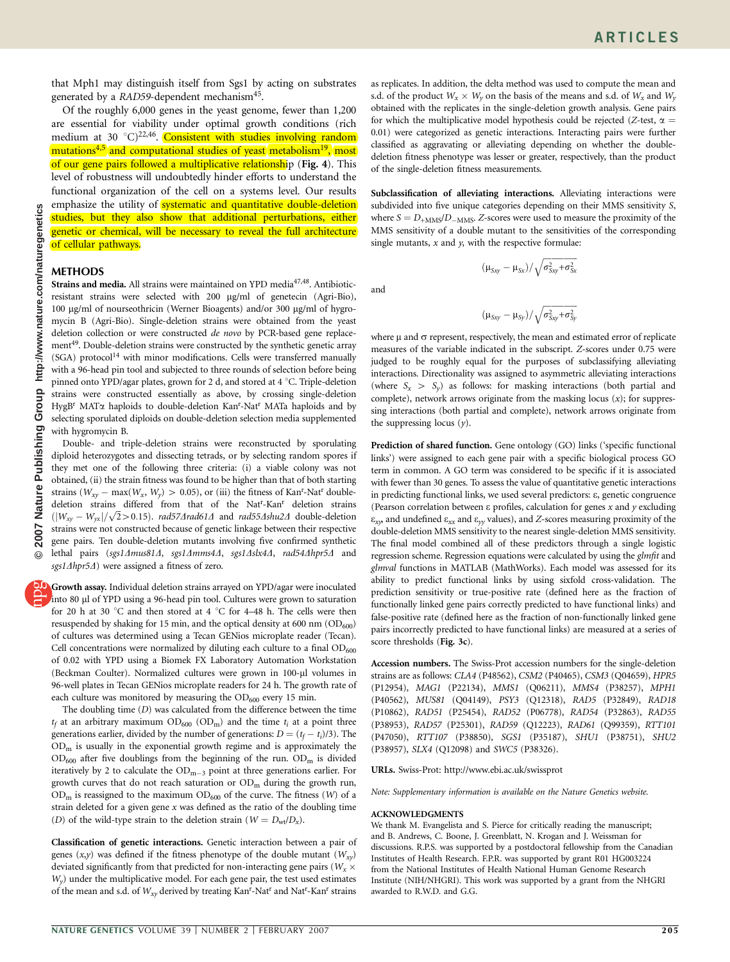that Mph1 may distinguish itself from Sgs1 by acting on substrates generated by a RAD59-dependent mechanism<sup>45</sup>.

Of the roughly 6,000 genes in the yeast genome, fewer than 1,200 are essential for viability under optimal growth conditions (rich medium at 30  $^{\circ}$ C)<sup>22,46</sup>. Consistent with studies involving random mutations<sup>4,5</sup> and computational studies of yeast metabolism<sup>19</sup>, most of our gene pairs followed a multiplicative relationship (Fig. 4). This level of robustness will undoubtedly hinder efforts to understand the functional organization of the cell on a systems level. Our results emphasize the utility of **systematic and quantitative double-deletion** studies, but they also show that additional perturbations, either genetic or chemical, will be necessary to reveal the full architecture of cellular pathways.

# METHODS

Strains and media. All strains were maintained on YPD media<sup>47,48</sup>. Antibioticresistant strains were selected with 200 mg/ml of genetecin (Agri-Bio), 100 μg/ml of nourseothricin (Werner Bioagents) and/or 300 μg/ml of hygromycin B (Agri-Bio). Single-deletion strains were obtained from the yeast deletion collection or were constructed de novo by PCR-based gene replacement<sup>49</sup>. Double-deletion strains were constructed by the synthetic genetic array  $(SGA)$  protocol<sup>14</sup> with minor modifications. Cells were transferred manually with a 96-head pin tool and subjected to three rounds of selection before being pinned onto YPD/agar plates, grown for 2 d, and stored at 4  $^{\circ}{\rm C}.$  Triple-deletion strains were constructed essentially as above, by crossing single-deletion HygB<sup>r</sup> MATa haploids to double-deletion Kan<sup>r</sup>-Nat<sup>r</sup> MATa haploids and by selecting sporulated diploids on double-deletion selection media supplemented with hygromycin B.

Double- and triple-deletion strains were reconstructed by sporulating diploid heterozygotes and dissecting tetrads, or by selecting random spores if they met one of the following three criteria: (i) a viable colony was not obtained, (ii) the strain fitness was found to be higher than that of both starting strains  $(W_{xy} - \max(W_x, W_y) > 0.05)$ , or (iii) the fitness of Kan<sup>r</sup>-Nat<sup>r</sup> doubledeletion strains differed from that of the Nat<sup>r</sup>-Kan<sup>r</sup> deletion strains deferion strains differed from that of the isat-Kan deferion strains<br> $(|W_{xy}-W_{yx}|/\sqrt{2}$ >0.15). *rad57Arad614* and *rad55Ashu2A* double-deletion strains were not constructed because of genetic linkage between their respective gene pairs. Ten double-deletion mutants involving five confirmed synthetic lethal pairs (sgs1 $\Delta$ mus81 $\Delta$ , sgs1 $\Delta$ mms4 $\Delta$ , sgs1 $\Delta$ slx4 $\Delta$ , rad54 $\Delta$ hpr5 $\Delta$  and sgs1 $\Delta$ hpr5 $\Delta$ ) were assigned a fitness of zero.

Growth assay. Individual deletion strains arrayed on YPD/agar were inoculated into 80 µl of YPD using a 96-head pin tool. Cultures were grown to saturation for 20 h at 30  $\degree$ C and then stored at 4  $\degree$ C for 4–48 h. The cells were then resuspended by shaking for 15 min, and the optical density at 600 nm  $(OD_{600})$ of cultures was determined using a Tecan GENios microplate reader (Tecan). Cell concentrations were normalized by diluting each culture to a final  $OD_{600}$ of 0.02 with YPD using a Biomek FX Laboratory Automation Workstation (Beckman Coulter). Normalized cultures were grown in 100-µl volumes in 96-well plates in Tecan GENios microplate readers for 24 h. The growth rate of each culture was monitored by measuring the  $OD_{600}$  every 15 min.

The doubling time (D) was calculated from the difference between the time  $t_f$  at an arbitrary maximum  $OD_{600}$   $OD_m$ ) and the time  $t_i$  at a point three generations earlier, divided by the number of generations:  $D = (t_f - t_i)/3$ ). The ODm is usually in the exponential growth regime and is approximately the  $OD_{600}$  after five doublings from the beginning of the run.  $OD<sub>m</sub>$  is divided iteratively by 2 to calculate the  $OD_{m-3}$  point at three generations earlier. For growth curves that do not reach saturation or  $OD<sub>m</sub>$  during the growth run,  $OD<sub>m</sub>$  is reassigned to the maximum  $OD<sub>600</sub>$  of the curve. The fitness (W) of a strain deleted for a given gene  $x$  was defined as the ratio of the doubling time (D) of the wild-type strain to the deletion strain ( $W = D_{wt}/D_x$ ).

Classification of genetic interactions. Genetic interaction between a pair of genes  $(x,y)$  was defined if the fitness phenotype of the double mutant  $(W_{xy})$ deviated significantly from that predicted for non-interacting gene pairs (  $W_{x}$   $\times$  $W<sub>v</sub>$ ) under the multiplicative model. For each gene pair, the test used estimates of the mean and s.d. of  $W_{xy}$  derived by treating Kan<sup>r</sup>-Nat<sup>r</sup> and Nat<sup>r</sup>-Kan<sup>r</sup> strains

as replicates. In addition, the delta method was used to compute the mean and s.d. of the product  $W_x \times W_y$  on the basis of the means and s.d. of  $W_x$  and  $W_y$ obtained with the replicates in the single-deletion growth analysis. Gene pairs for which the multiplicative model hypothesis could be rejected (Z-test,  $\alpha$  = 0.01) were categorized as genetic interactions. Interacting pairs were further classified as aggravating or alleviating depending on whether the doubledeletion fitness phenotype was lesser or greater, respectively, than the product of the single-deletion fitness measurements.

Subclassification of alleviating interactions. Alleviating interactions were subdivided into five unique categories depending on their MMS sensitivity S, where  $S = D_{+MMS}/D_{-MMS}$ . Z-scores were used to measure the proximity of the MMS sensitivity of a double mutant to the sensitivities of the corresponding single mutants,  $x$  and  $y$ , with the respective formulae:

and

$$
(\mu_{\text{Sxy}}-\mu_{\text{Sy}})/\sqrt{\sigma_{\text{Sxy}}^2\!+\!\sigma_{\text{Sy}}^2}
$$

 $(\mu_{Sxy}-\mu_{Sx})/\sqrt{\sigma_{Sxy}^2+\sigma_{Sx}^2}$ 

where  $\mu$  and  $\sigma$  represent, respectively, the mean and estimated error of replicate measures of the variable indicated in the subscript. Z-scores under 0.75 were judged to be roughly equal for the purposes of subclassifying alleviating interactions. Directionality was assigned to asymmetric alleviating interactions (where  $S_x > S_y$ ) as follows: for masking interactions (both partial and complete), network arrows originate from the masking locus  $(x)$ ; for suppressing interactions (both partial and complete), network arrows originate from the suppressing locus  $(y)$ .

Prediction of shared function. Gene ontology (GO) links ('specific functional links') were assigned to each gene pair with a specific biological process GO term in common. A GO term was considered to be specific if it is associated with fewer than 30 genes. To assess the value of quantitative genetic interactions in predicting functional links, we used several predictors: e, genetic congruence (Pearson correlation between  $\varepsilon$  profiles, calculation for genes  $x$  and  $y$  excluding  $\varepsilon_{xx}$ , and undefined  $\varepsilon_{xx}$  and  $\varepsilon_{yy}$  values), and Z-scores measuring proximity of the double-deletion MMS sensitivity to the nearest single-deletion MMS sensitivity. The final model combined all of these predictors through a single logistic regression scheme. Regression equations were calculated by using the glmfit and glmval functions in MATLAB (MathWorks). Each model was assessed for its ability to predict functional links by using sixfold cross-validation. The prediction sensitivity or true-positive rate (defined here as the fraction of functionally linked gene pairs correctly predicted to have functional links) and false-positive rate (defined here as the fraction of non-functionally linked gene pairs incorrectly predicted to have functional links) are measured at a series of score thresholds (Fig. 3c).

Accession numbers. The Swiss-Prot accession numbers for the single-deletion strains are as follows: CLA4 (P48562), CSM2 (P40465), CSM3 (Q04659), HPR5 (P12954), MAG1 (P22134), MMS1 (Q06211), MMS4 (P38257), MPH1 (P40562), MUS81 (Q04149), PSY3 (Q12318), RAD5 (P32849), RAD18 (P10862), RAD51 (P25454), RAD52 (P06778), RAD54 (P32863), RAD55 (P38953), RAD57 (P25301), RAD59 (Q12223), RAD61 (Q99359), RTT101 (P47050), RTT107 (P38850), SGS1 (P35187), SHU1 (P38751), SHU2 (P38957), SLX4 (Q12098) and SWC5 (P38326).

URLs. Swiss-Prot: http://www.ebi.ac.uk/swissprot

Note: Supplementary information is available on the Nature Genetics website.

#### ACKNOWLEDGMENTS

We thank M. Evangelista and S. Pierce for critically reading the manuscript; and B. Andrews, C. Boone, J. Greenblatt, N. Krogan and J. Weissman for discussions. R.P.S. was supported by a postdoctoral fellowship from the Canadian Institutes of Health Research. F.P.R. was supported by grant R01 HG003224 from the National Institutes of Health National Human Genome Research Institute (NIH/NHGRI). This work was supported by a grant from the NHGRI awarded to R.W.D. and G.G.